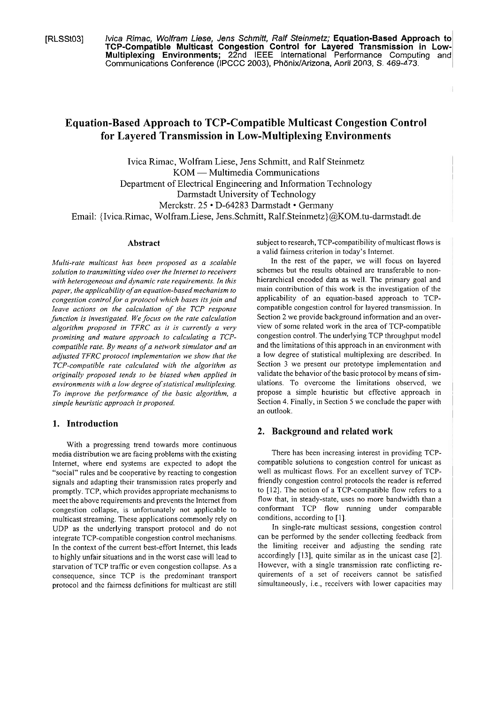[RLSSt03] lvica Rimac, Wolfram Liese, Jens Schmitt, Ralf Steinmetz; **Equation-Based Approach to TCP-Compatible Multicast Congestion Control for Layered Transmission in Low-Multiplexing Environments;** 22nd IEEE International Performance Computing and Communications Conference (IPCCC 2003), Phönix/Arizona, April 2003, S. 469-473.

# **Equation-Based Approach to TCP-Compatible Multicast Congestion Control for Layered Transmission in Low-Multiplexing Environments**

Ivica Rimac, Wolfram Liese, Jens Schmitt, and Ralf Steinmetz KOM - Multimedia Communications Department of Electrical Engineering and Information Technology Darmstadt University of Technology Merckstr. 25 · D-64283 Darmstadt · Germany Email: {Ivica.Rimac, Wolfram.Liese, Jens.Schmitt, **Ralf.Steinmetz)@KOM.tu-darmstadt.de** 

### **Abstract**

*Multi-rate muliicasi has been proposed as a scalable solution io iransmitiing video over the Interne1 io receivers with heterogeneous and dynamic raie requiremenis. In this paper, the applicability of an equation-based mechanism io congestion control for a proiocol which bases its join and Ieave actions on the calculation of fhe TCP response*  function is investigated. We focus on the rate calculation *algoriihnl proposed in TFRC as it is currenily a very promising and maiure approach to calculaiing a TCPcompaiible rate. By means of a network simulaior und an*  adjusted TFRC protocol implementation we show that the *TCP-compatible rate calculated with the algorithm as originally proposed tends /o be biased when applied in environments with a low degree of statistical multiplexing. To improve the perforrnance of ihe basic algorithm, a simple heuristic approach is proposed.* 

## 1. Introduction

With a progressing trend towards more continuous media distribution we are facing problems with the existing Intemet, where end Systems are cxpected to adopt the "social" rules and be cooperative by reacting to congestion signals and adapting their transmission rates properly and promptly. TCP, which provides appropriate mechanisms to meet the above requirements and prevents the lntemet from congestion collapse, is unfortunately not applicable to multicast streaming. These applications commonly rely on UDP as the underlying transport protocol and do not integrate TCP-compatible congestion control mechanisms. In the context of the current best-effort Internet, this leads to highly unfair situations and in the worst case will lead to starvation of TCP traffic or even congestion collapse. As a consequence, since TCP is the predominant transport protocol and thc faimess definitions for multicast are still subject to research, TCP-compatibility of multicast flows is a valid faimess criterion in today's Intemet.

In the rest of the paper, we will focus on layered schemes but the results obtained are transferable to nonhierarchical encoded data as well. The primary goal and main contribution of this work is the investigation of the applicability of an equation-based approach to TCPcompatible congestion control for layered transmission. In Section 2 we provide background information and an overview of some related work in the arca of TCP-compatible congestion control. The underlying TCP throughput model and the limitations of this approach in an environment with a low degree of statistical multiplexing are described. In Section 3 we present our prototype implementation and validate the behavior of the basic protocol by means of simulations. To overcome the limitations observed, we propose a simple heuristic but effective approach in Section 4. Finally, in Section *5* we conclude the paper with an outlook.

### **2. Background and related work**

There has been increasing interest in providing TCPcompatible solutions to congestion control for unicast as well as multicast flows. For an excellent survey of TCPfriendly congestion control protocols the reader is referred to [12]. The notion of a TCP-compatible flow refers to a flow that, in steady-state, uses no more bandwidth than a conformant TCP flow running under comparable conditions, according to [I].

In single-rate multicast sessions, congestion control can be performed by the sender collecting feedback from the limiting receiver and adjusting the sending rate accordingly [13], quite similar as in the unicast case [2]. However, with a single transmission rate conflicting requirements of a Set of receivers cannot be satisfied simultaneously, i.e., receivers with lower capacities may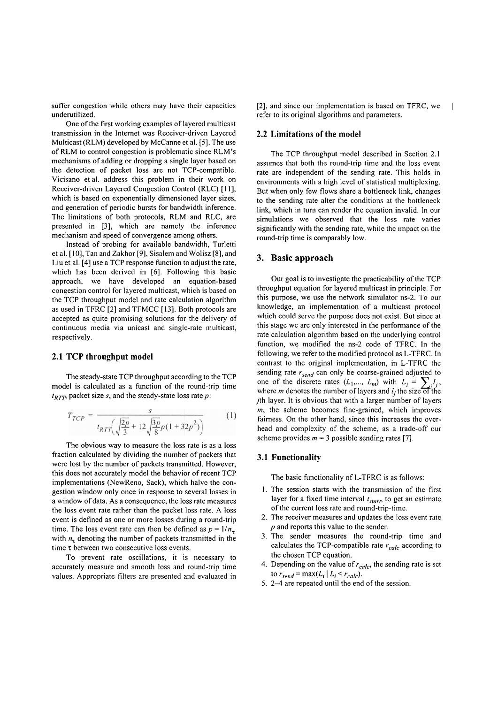suffer congestion while others may have their capacities underutilized.

One of the first working examples of layered multicast transmission in the Intemet was Receiver-driven Layered Multicast (RLM) developed by McCanne et al. [5]. The use of RLM to control congestion is problematic since RLM's mechanisms of adding or dropping a single layer based on the detection of packet loss are not TCP-compatible. Vicisano et al. address this problem in their work on Receiver-driven Layered Congestion Control (RLC) [I I], which is based on exponentially dimensioned layer sizes, and generation of periodic bursts for bandwidth inference. The limitations of both protocols, RLM and RLC, are presented in [3], which are namely the inference mechanism and speed of convergence among others.

lnstead of probing for available bandwidth, Turletti et al. [10], Tan and Zakhor [9], Sisalem and Wolisz [8], and Liu et al. [4] use a TCP response function to adjust the rate, which has been derived in [6]. Following this basic approach, we have developed an equation-based congestion control for layered multicast, which is based on the TCP throughput model and rate calculation algorithm as used in TFRC [2] and TFMCC [13]. Both protocols are accepted as quite promising solutions for the delivery of continuous media via unicast and single-rate multicast, respectively.

## **2.1 TCP throughput model**

The steady-state TCP throughput according to the TCP model is calculated as a function of the round-trip time  $t_{RTT}$ , packet size *s*, and the steady-state loss rate *p*:

$$
T_{TCP} = \frac{s}{t_{RTT} \left( \sqrt{\frac{2p}{3}} + 12\sqrt{\frac{3p}{8}p(1+32p^2)} \right)}
$$
(1)

The obvious way to measure the loss rate is as a loss fraction calculated by dividing the number of packets that were lost by the number of packets transmitted. However, this does not accurately model the behavior of recent TCP implementations (NewReno, Sack), which halve the congestion window only once in response to several losses in a window of data. As a consequence, the loss rate measures the loss event rate rather than the packet loss rate. A loss event is defined as one or more losses during a round-trip time. The loss event rate can then be defined as  $p = 1/n_{\tau}$ with  $n_{\tau}$  denoting the number of packets transmitted in the time r between two consecutive loss events.

To prevent rate oscillations, it is necessary to accurately measure and smooth loss and round-trip time values. Appropriate filters are presented and evaluated in [2], and since our implementation is based on TFRC, we refer to its original algorithms and parameters.

## **2.2 Limitations of the model**

The TCP throughput model described in Section 2.1 assumes that both the round-trip time and the loss event rate are independent of the sending rate. This holds in environments with a high level of statistical multiplcxing. But when only few flows share a bottleneck link, changes to the sending rate alter the conditions at the bottleneck link, which in turn can render the equation invalid. In our simulations we observed that the loss rate varies significantly with the sending rate, while the impact on the round-trip time is comparably low.

#### **3. Basic approach**

Our goal is to investigate the practicability of the TCP throughput equation for layered multicast in principle. For this purpose, we use the network simulator ns-2. To our knowledge, an implementation of a multicast protocol which could serve the purpose does not exist. But since at this Stage we are only interested in the performance of the rate calculation algorithm based on the underlying control function, we modified the ns-2 code of TFRC. In the following, we refer to the modified protocol as L-TFRC. In contrast to the original implementation, in L-TFRC the sending rate  $r_{send}$  can only be coarse-grained adjusted to bending rate  $r_{send}$  can only be coarse-grained adjusted to one of the discrete rates  $(L_1,..., L_m)$  with  $L_i = \sum_i l_i$ , where *m* denotes the number of layers and  $l_i$  the size of the jth layer. It is obvious that with a larger number of layers  $m$ , the scheme becomes fine-grained, which improves fairness. On the other hand, since this increases the overhead and complexity of the scheme, as a trade-off our scheme provides  $m = 3$  possible sending rates [7].

## **3.1 Functionality**

The basic functionality of L-TFRC is as follows:

- **1.** The session Starts with the transmission of the first layer for a fixed time interval  $t_{start}$ , to get an estimate of the current loss rate and round-trip-time.
- 2. The receiver measures and updates the loss event rate  $p$  and reports this value to the sender.
- **3.** The sender measures the round-trip time and calculates the TCP-compatible rate  $r_{calc}$  according to the chosen TCP equation.
- 4. Depending on the value of  $r_{calc}$ , the sending rate is set to  $r_{send} = \max(L_i \mid L_i \leq r_{calc}).$
- 5.  $2-4$  are repeated until the end of the session.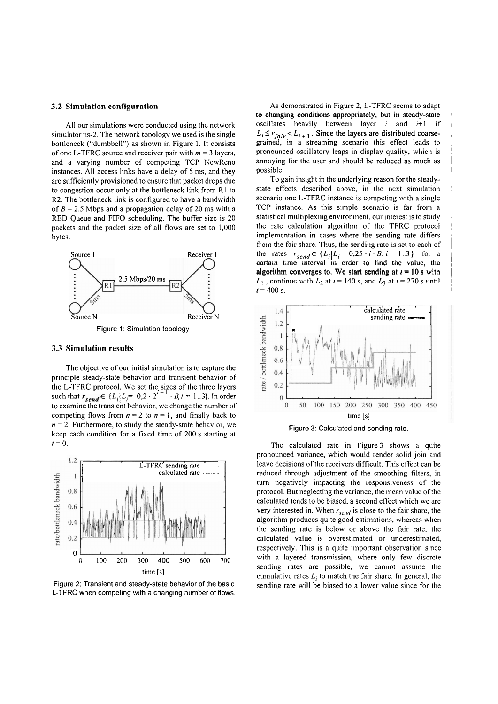#### **3.2 Simulation configuration**

All our simulations were conducted using the network simulator ns-2. The network topology we used is the single bottleneck ("dumbbell") as shown in Figure 1. It consists of one L-TFRC source and receiver pair with **m** = 3 layers, and a varying number of competing TCP NewReno instances. All access links have a delay of 5 ms, and they are sufficiently provisioned to ensure that packet drops due to congestion occur only at the bottleneck link from Rl to R2. The bottleneck link is configured to have a bandwidth of  $B = 2.5$  Mbps and a propagation delay of 20 ms with a RED Queue and FIFO scheduling. The buffer size is 20 packets and the packet size of all flows are set to 1,000 bytes.



## **3.3 Simulation results**

The objective of our initial simulation is to capture the principle steady-state behavior and transient behavior of the L-TFRC protocol. We set the sizes of the three layers such that  $r_{send} \in \{L_i | L_i = 0, 2 \cdot 2^{i-1} \cdot B, i = 1, 3\}$ . In order to examine the transient behavior, we change the number of competing flows from  $n = 2$  to  $n = 1$ , and finally back to  $n = 2$ . Furthermore, to study the steady-state behavior, we keep each condition for a fixed time of 200 s starting at  $t = 0.$ 



Figure 2: Transient and steady-state behavior of the basic L-TFRC when competing with a changing number of flows.

As demonstrated in Figure 2, L-TFRC seems to adapt to changing conditions appropriately, but in steady-state oscillates heavily between layer  $i$  and  $i+1$  if  $L_i \le r_{fair} < L_{i+1}$ . Since the layers are distributed coarsegrained, in a streaming scenario this effect leads to pronounced oscillatory leaps in display quality, which is <sup>~</sup> annoying for the user and should be reduced as much as possible.

To gain insight in the underlying reason for the steadystate effects described above, in the next simulation scenario one L-TFRC instance is competing with a single TCP instance. As this simple scenario is far from a statistical multiplexing environment, our interest is to study the rate calculation algorithm of the TFRC protocol implementation in cases where the sending rate differs from the fair share. Thus, the sending rate is set to each of the rates  $r_{send} \in \{L_i | L_i = 0, 25 \cdot i \cdot B, i = 1..3\}$  for a certain time interval in order to find the value, the algorithm converges to. We start sending at  $I = 10$  s with  $L_1$ , continue with  $L_2$  at  $t = 140$  s, and  $L_3$  at  $t = 270$  s until  $t = 400$  s.





The calculated rate in Figure 3 shows a quite pronounced variance, which would render solid join and leave decisions of the receivers difticult. This effect can be reduced through adjustment of the smoothing filters, in turn negatively impacting the responsiveness of the protocol. But neglecting the variance, the mean value of the calculated tends tobe biased, a second effect which we are very interested in. When  $r_{send}$  is close to the fair share, the algorithm produces quite good estimations, whereas when the sending rate is below or above the fair rate, thc calculated value is overestimated or underestimated, respectively. This is a quite important observation since with a layered transmission, where only few discrcte sending rates are possible, we cannot assume the cumulative rates  $L_i$  to match the fair share. In general, the sending rate will be biased to a lower value since for the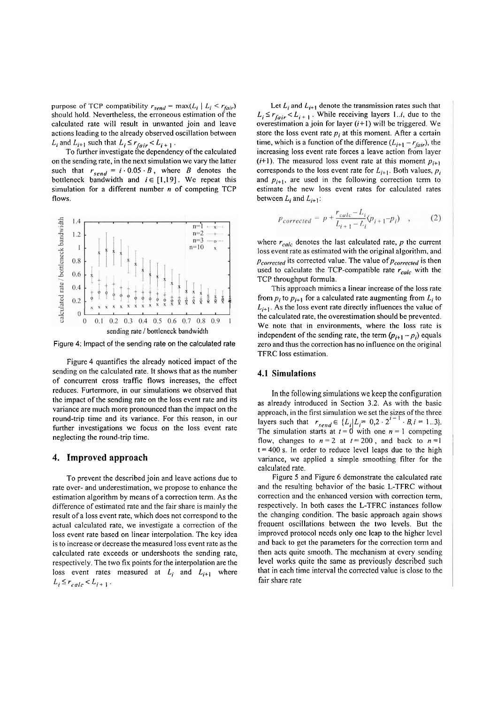purpose of TCP compatibility  $r_{send} = \max(L_i \mid L_i \le r_{fair})$ should hold. Nevertheless, the erroneous estimation of the calculated rate will result in unwanted join and leave actions leading to the already observed oscillation between  $L_i$  and  $L_{i+1}$  such that  $L_i \leq r_{fair} < L_{i+1}$ .

To further investigate the dependency of the calculated on the sending rate, in the next simulation we vary the latter such that  $r_{send} = i \cdot 0.05 \cdot B$ , where B denotes the bottleneck bandwidth and  $i \in [1,19]$ . We repeat this simulation for a different nuniber **n** of competing TCP flows.



Figure 4: Impact of the sending rate on the calculated rate

Figure 4 quantifies the already noticed impact of the sending on the calculated rate. It shows that as the number of concurrent Cross traffic flows increases, the effect reduces. Furtermore, in our simulations we observed that the impact of the sending rate on the loss event rate and its variance are much more pronounced than the impact on the round-trip time and its variance. For this reason, in our further investigations we focus on the loss event rate neglecting the round-trip time.

## **4. Improved approach**

To prevent the described join and leave actions due to rate over- and underestimation, we propose to enhance thc estimation algorithm by means of a correction term. As the difference of estimated rate and the fair share is mainly the result of a loss event rate, which does not correspond to the actual calculated rate, we investigate a correction of the loss event rate based on linear interpolation. The key idea is to increasc or decrease the measured loss event rate as the calculated rate exceeds or undershoots the sending rate, respectively. The two fix points for the interpolation are the loss event rates measured at  $L_i$  and  $L_{i+1}$  where  $L_i \leq r_{calc} < L_{i+1}$ .

Let  $L_i$  and  $L_{i+1}$  denote the transmission rates such that  $L_i \leq r_{fair} < L_{i+1}$ . While receiving layers 1.*i*, due to the overestimation a join for layer  $(i+1)$  will be triggered. We store the loss event rate  $p_i$  at this moment. After a certain time, which is a function of the difference  $(L_{i+1} - r_{fair})$ , the increasing loss event rate forces a leave action from layer  $(i+1)$ . The measured loss event rate at this moment  $p_{i+1}$ corresponds to the loss event rate for  $L_{i+1}$ . Both values,  $p_i$ and  $p_{i+1}$ , are used in the following correction term to estimate the new loss event rates for calculated rates between  $L_i$  and  $L_{i+1}$ :

$$
p_{corrected} = p + \frac{r_{calc} - L_i}{L_{i+1} - L_i}(p_{i+1} - p_i) \quad , \tag{2}
$$

where  $r_{calc}$  denotes the last calculated rate,  $p$  the current loss event rate as estimated with the original algorithm, and *Pcorrected* its corrected value. The value of  $p_{corrected}$  is then used to calculate the TCP-compatible rate  $r_{calc}$  with the TCP throughput formula.

This approach mimics a linear increase of the loss rate from  $p_i$  to  $p_{i+1}$  for a calculated rate augmenting from  $L_i$  to  $L_{i+1}$ . As the loss event rate directly influences the value of the calculated rate, the overestimation should be prevented. We note that in environments, where the loss rate is independent of the sending rate, the term  $(p_{i+1} - p_i)$  equals zero and thus the correction has no influence on the original TFRC loss estimation.

#### **4.1 Simulations**

In the following simulations we keep the configuration as already introduced in Section 3.2. As with the basic approach, in the first simulation we Set the sizes of the three layers such that  $r_{send} \in \{L_i | L_i = 0, 2 \cdot 2^{i-1} \cdot B_i = 1..3\}.$ The simulation starts at  $t = 0$  with one  $n = 1$  competing flow, changes to  $n = 2$  at  $t = 200$ , and back to  $n = 1$  $t = 400$  s. In order to reduce level leaps due to the high variance, we applied a simple smoothing filter for the calculated rate.

Figure 5 and Figure 6 demonstrate the calculated rate and the resulting behavior of thc basic L-TFRC without correction and the enhanced version with correction term, respectively. In both cases the L-TFRC instances follow the changing condition. The basic approach again shows frequent oscillations between the two levels. But the improved protocol needs only one leap to the higher level and back to get the parameters for the correction term and then acts quite smooth. The mechanism at every sending level works quite the Same as previously described such that in each time interval the corrected value is close to the fair share rate